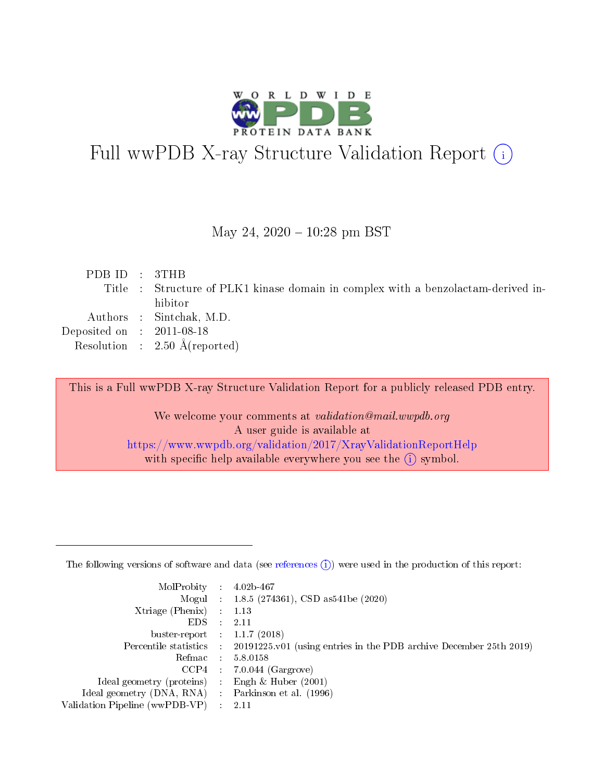

# Full wwPDB X-ray Structure Validation Report (i)

#### May 24,  $2020 - 10:28$  pm BST

| PDB ID : 3THB               |                                                                                   |
|-----------------------------|-----------------------------------------------------------------------------------|
|                             | Title : Structure of PLK1 kinase domain in complex with a benzolactam-derived in- |
|                             | hibitor                                                                           |
|                             | Authors : Sintchak, M.D.                                                          |
| Deposited on : $2011-08-18$ |                                                                                   |
|                             | Resolution : $2.50 \text{ Å}$ (reported)                                          |
|                             |                                                                                   |

This is a Full wwPDB X-ray Structure Validation Report for a publicly released PDB entry.

We welcome your comments at validation@mail.wwpdb.org A user guide is available at <https://www.wwpdb.org/validation/2017/XrayValidationReportHelp> with specific help available everywhere you see the  $(i)$  symbol.

The following versions of software and data (see [references](https://www.wwpdb.org/validation/2017/XrayValidationReportHelp#references)  $(1)$ ) were used in the production of this report:

| MolProbity :                   |               | $4.02b - 467$                                                               |
|--------------------------------|---------------|-----------------------------------------------------------------------------|
|                                |               | Mogul : $1.8.5$ (274361), CSD as 541be (2020)                               |
| Xtriage (Phenix)               | $\mathcal{L}$ | 1.13                                                                        |
| EDS.                           |               | 2.11                                                                        |
| buster-report : $1.1.7$ (2018) |               |                                                                             |
| Percentile statistics :        |               | $20191225 \text{v}01$ (using entries in the PDB archive December 25th 2019) |
| Refmac :                       |               | 5.8.0158                                                                    |
| CCP4                           |               | $7.0.044$ (Gargrove)                                                        |
| Ideal geometry (proteins) :    |               | Engh $\&$ Huber (2001)                                                      |
| Ideal geometry (DNA, RNA) :    |               | Parkinson et al. (1996)                                                     |
| Validation Pipeline (wwPDB-VP) | $\mathcal{L}$ | 2.11                                                                        |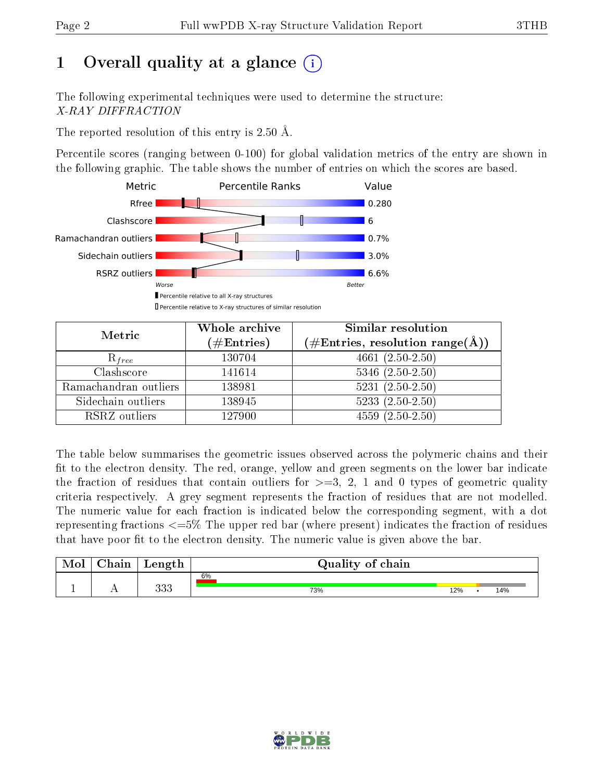## 1 [O](https://www.wwpdb.org/validation/2017/XrayValidationReportHelp#overall_quality)verall quality at a glance  $(i)$

The following experimental techniques were used to determine the structure: X-RAY DIFFRACTION

The reported resolution of this entry is 2.50 Å.

Percentile scores (ranging between 0-100) for global validation metrics of the entry are shown in the following graphic. The table shows the number of entries on which the scores are based.



| Metric                | Whole archive<br>$(\#\text{Entries})$ | Similar resolution<br>$(\#\text{Entries},\,\text{resolution}\,\,\text{range}(\textup{\AA}))$ |  |  |
|-----------------------|---------------------------------------|----------------------------------------------------------------------------------------------|--|--|
| $R_{free}$            | 130704                                | 4661 $(2.50-2.50)$                                                                           |  |  |
| Clashscore            | 141614                                | $5346$ $(2.50-2.50)$                                                                         |  |  |
| Ramachandran outliers | 138981                                | $\overline{5231}$ $(2.50-2.50)$                                                              |  |  |
| Sidechain outliers    | 138945                                | $5233(2.50-2.50)$                                                                            |  |  |
| RSRZ outliers         | 127900                                | $4559(2.50-2.50)$                                                                            |  |  |

The table below summarises the geometric issues observed across the polymeric chains and their fit to the electron density. The red, orange, yellow and green segments on the lower bar indicate the fraction of residues that contain outliers for  $>=3, 2, 1$  and 0 types of geometric quality criteria respectively. A grey segment represents the fraction of residues that are not modelled. The numeric value for each fraction is indicated below the corresponding segment, with a dot representing fractions <=5% The upper red bar (where present) indicates the fraction of residues that have poor fit to the electron density. The numeric value is given above the bar.

| Mol       | nain '     | Length     | Quality of chain |     |  |     |  |  |
|-----------|------------|------------|------------------|-----|--|-----|--|--|
|           |            |            | 6%               |     |  |     |  |  |
| <u>д.</u> | <u>. .</u> | ววว<br>৩৩৬ | 73%              | 12% |  | 14% |  |  |

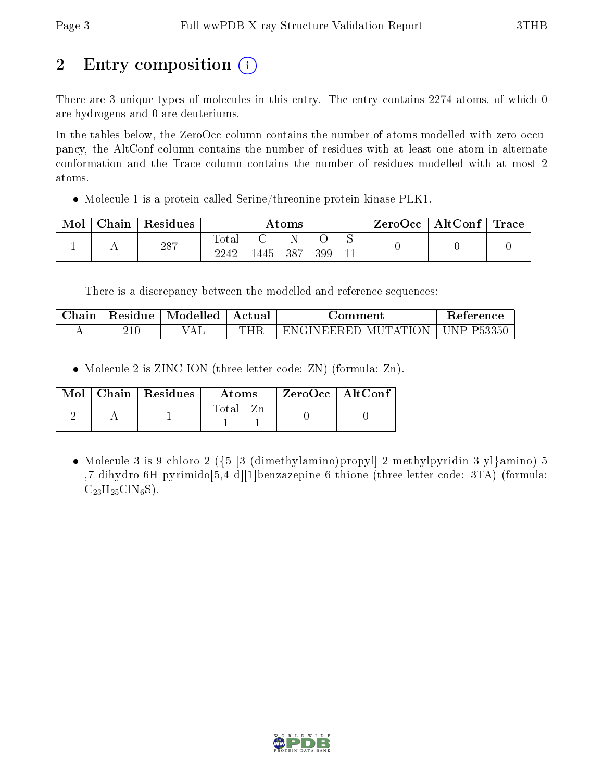# 2 Entry composition  $\left( \cdot \right)$

There are 3 unique types of molecules in this entry. The entry contains 2274 atoms, of which 0 are hydrogens and 0 are deuteriums.

In the tables below, the ZeroOcc column contains the number of atoms modelled with zero occupancy, the AltConf column contains the number of residues with at least one atom in alternate conformation and the Trace column contains the number of residues modelled with at most 2 atoms.

Molecule 1 is a protein called Serine/threonine-protein kinase PLK1.

| Mol | Chain | Residues | Atoms               |          |  |     |  | ZeroOcc | $\mid$ AltConf $\mid$ Trace |  |
|-----|-------|----------|---------------------|----------|--|-----|--|---------|-----------------------------|--|
|     |       | 287      | $\rm Total$<br>2242 | 1445 387 |  | 399 |  |         |                             |  |

There is a discrepancy between the modelled and reference sequences:

| $\cap$ hain | Residue | Modelled | Actual | Jomment             | <b>Reference</b>  |
|-------------|---------|----------|--------|---------------------|-------------------|
|             | 41 U    | 'AL      | THF    | ENGINEERED MUTATION | $\mid$ UNP P53350 |

• Molecule 2 is ZINC ION (three-letter code: ZN) (formula: Zn).

|  | $\text{Mol}$   Chain   Residues | Atoms | ZeroOcc   AltConf |  |
|--|---------------------------------|-------|-------------------|--|
|  |                                 | Total |                   |  |

• Molecule 3 is 9-chloro-2- $({5-[3-(dimethylamino)propyl]-2-methylpyridin-3-y]}$ amino)-5 ,7-dihydro-6H-pyrimido[5,4-d][1]benzazepine-6-thione (three-letter code: 3TA) (formula:  $\mathrm{C}_{23}\mathrm{H}_{25}\mathrm{C}l\mathrm{N}_{6}\mathrm{S}$  ).

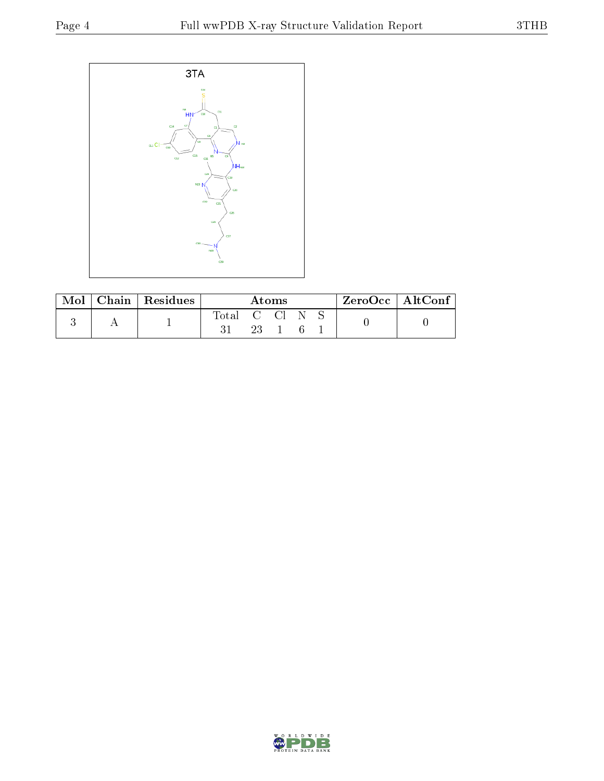

| Mol | Chain   Residues | Atoms |  |  | $\text{ZeroOcc}$   AltConf |  |  |  |
|-----|------------------|-------|--|--|----------------------------|--|--|--|
|     |                  | Total |  |  |                            |  |  |  |

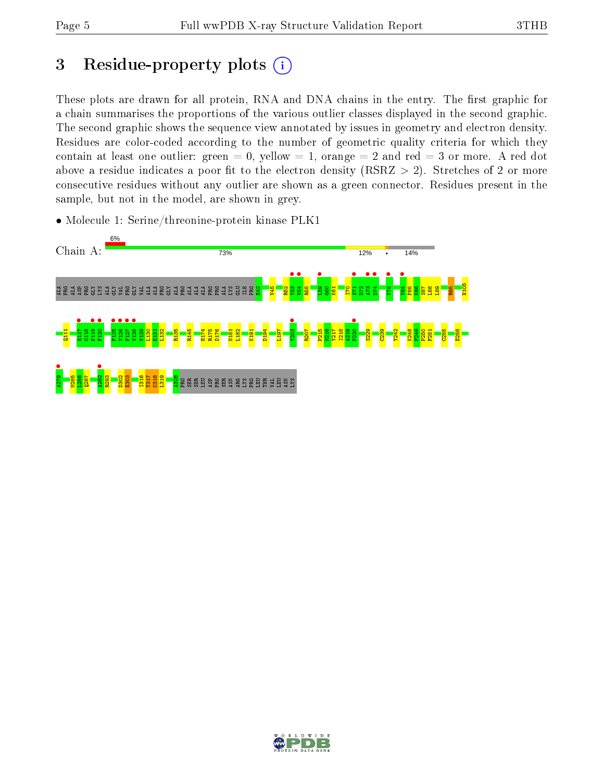## 3 Residue-property plots  $(i)$

These plots are drawn for all protein, RNA and DNA chains in the entry. The first graphic for a chain summarises the proportions of the various outlier classes displayed in the second graphic. The second graphic shows the sequence view annotated by issues in geometry and electron density. Residues are color-coded according to the number of geometric quality criteria for which they contain at least one outlier: green  $= 0$ , yellow  $= 1$ , orange  $= 2$  and red  $= 3$  or more. A red dot above a residue indicates a poor fit to the electron density (RSRZ  $> 2$ ). Stretches of 2 or more consecutive residues without any outlier are shown as a green connector. Residues present in the sample, but not in the model, are shown in grey.

• Molecule 1: Serine/threonine-protein kinase PLK1



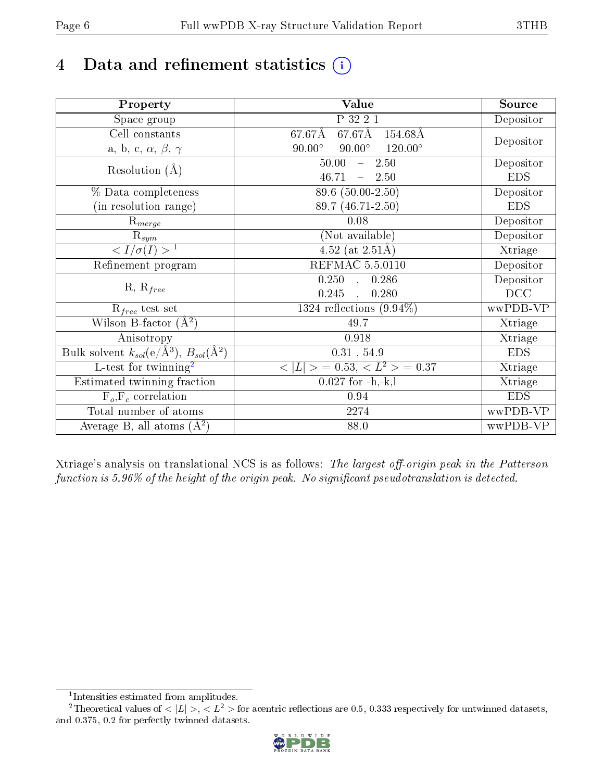# 4 Data and refinement statistics  $(i)$

| Property                                                             | Value                                             | Source     |
|----------------------------------------------------------------------|---------------------------------------------------|------------|
| Space group                                                          | P 32 2 1                                          | Depositor  |
| Cell constants                                                       | $67.67\text{\AA}$<br>$67.67\text{\AA}$<br>154.68Å |            |
| a, b, c, $\alpha$ , $\beta$ , $\gamma$                               | $90.00^\circ$<br>$120.00^\circ$<br>$90.00^\circ$  | Depositor  |
| Resolution $(A)$                                                     | 2.50<br>50.00<br>$\frac{1}{2}$                    | Depositor  |
|                                                                      | 46.71<br>$-2.50$                                  | <b>EDS</b> |
| % Data completeness                                                  | 89.6 (50.00-2.50)                                 | Depositor  |
| (in resolution range)                                                | 89.7 (46.71-2.50)                                 | <b>EDS</b> |
| $\mathrm{R}_{merge}$                                                 | 0.08                                              | Depositor  |
| $\mathrm{R}_{sym}$                                                   | (Not available)                                   | Depositor  |
| $\sqrt{I/\sigma(I)} > 1$                                             | $\overline{4.52}$ (at 2.51Å)                      | Xtriage    |
| Refinement program                                                   | <b>REFMAC 5.5.0110</b>                            | Depositor  |
|                                                                      | $\overline{0.250}$ ,<br>0.286                     | Depositor  |
| $R, R_{free}$                                                        | 0.245<br>0.280<br>$\overline{\phantom{a}}$        | DCC        |
| $R_{free}$ test set                                                  | 1324 reflections $(9.94\%)$                       | wwPDB-VP   |
| Wilson B-factor $(A^2)$                                              | 49.7                                              | Xtriage    |
| Anisotropy                                                           | 0.918                                             | Xtriage    |
| Bulk solvent $k_{sol}(e/\mathring{A}^3)$ , $B_{sol}(\mathring{A}^2)$ | $0.31$ , 54.9                                     | <b>EDS</b> |
| $\overline{L-test for}$ twinning <sup>2</sup>                        | $< L >$ = 0.53, $< L2$ > = 0.37                   | Xtriage    |
| Estimated twinning fraction                                          | $0.027$ for $-h,-k,l$                             | Xtriage    |
| $F_o, F_c$ correlation                                               | 0.94                                              | <b>EDS</b> |
| Total number of atoms                                                | 2274                                              | wwPDB-VP   |
| Average B, all atoms $(A^2)$                                         | 88.0                                              | wwPDB-VP   |

Xtriage's analysis on translational NCS is as follows: The largest off-origin peak in the Patterson function is  $5.96\%$  of the height of the origin peak. No significant pseudotranslation is detected.

<sup>&</sup>lt;sup>2</sup>Theoretical values of  $\langle |L| \rangle$ ,  $\langle L^2 \rangle$  for acentric reflections are 0.5, 0.333 respectively for untwinned datasets, and 0.375, 0.2 for perfectly twinned datasets.



<span id="page-5-1"></span><span id="page-5-0"></span><sup>1</sup> Intensities estimated from amplitudes.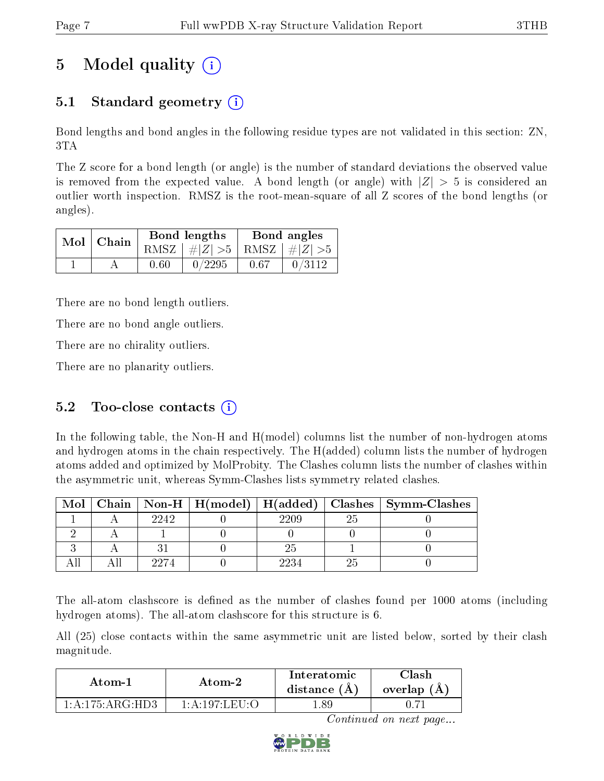# 5 Model quality  $(i)$

### 5.1 Standard geometry (i)

Bond lengths and bond angles in the following residue types are not validated in this section: ZN, 3TA

The Z score for a bond length (or angle) is the number of standard deviations the observed value is removed from the expected value. A bond length (or angle) with  $|Z| > 5$  is considered an outlier worth inspection. RMSZ is the root-mean-square of all Z scores of the bond lengths (or angles).

|  | $Mol$   Chain |      | Bond lengths                    | Bond angles |        |  |
|--|---------------|------|---------------------------------|-------------|--------|--|
|  |               |      | RMSZ $ #Z  > 5$ RMSZ $ #Z  > 5$ |             |        |  |
|  |               | 0.60 | 0/2295                          | 0.67        | 0/3112 |  |

There are no bond length outliers.

There are no bond angle outliers.

There are no chirality outliers.

There are no planarity outliers.

### 5.2 Too-close contacts  $(i)$

In the following table, the Non-H and H(model) columns list the number of non-hydrogen atoms and hydrogen atoms in the chain respectively. The H(added) column lists the number of hydrogen atoms added and optimized by MolProbity. The Clashes column lists the number of clashes within the asymmetric unit, whereas Symm-Clashes lists symmetry related clashes.

| Mol |      |      | Chain   Non-H   H(model)   H(added)   Clashes   Symm-Clashes |
|-----|------|------|--------------------------------------------------------------|
|     | 2242 | 2209 |                                                              |
|     |      |      |                                                              |
|     |      |      |                                                              |
|     | 9974 |      |                                                              |

The all-atom clashscore is defined as the number of clashes found per 1000 atoms (including hydrogen atoms). The all-atom clashscore for this structure is 6.

All (25) close contacts within the same asymmetric unit are listed below, sorted by their clash magnitude.

| Atom-1                         | Atom-2                     | Interatomic<br>distance $(A)$ | Clash<br>overlap $(A)$ |
|--------------------------------|----------------------------|-------------------------------|------------------------|
| $1:$ A $:$ 175 $:$ ARG $:$ HD3 | $1:$ A : 197: LEU $\Omega$ | -89                           |                        |

Continued on next page...

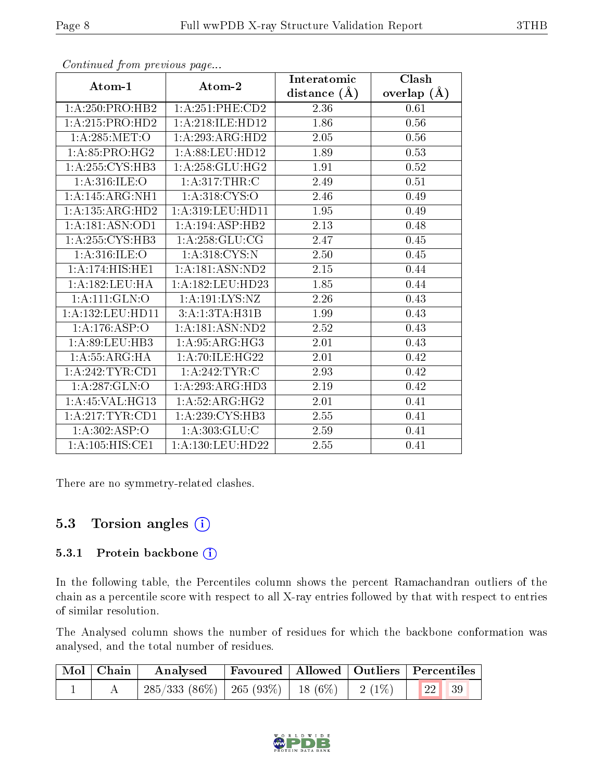|                              |                                    | Interatomic       | <b>Clash</b>  |  |
|------------------------------|------------------------------------|-------------------|---------------|--|
| Atom-1                       | Atom-2                             | distance $(A)$    | overlap $(A)$ |  |
| 1:A:250:PRO:HB2              | $1: A:251:$ PHE:CD2                | 2.36              | 0.61          |  |
| 1:A:215:PRO:HD2              | 1:A:218:ILE:HD12                   | 1.86              | 0.56          |  |
| 1: A:285:MET:O               | 1:A:293:ARG:HD2                    | 2.05              | 0.56          |  |
| 1: A:85: PRO:HG2             | 1: A:88:LEU:HD12                   | 1.89              | 0.53          |  |
| 1:A:255:CYS:HB3              | 1:A:258:GLU:HG2                    | 1.91              | 0.52          |  |
| 1: A:316: ILE: O             | 1: A:317:THR:C                     | 2.49              | 0.51          |  |
| 1: A:145: ARG: NH1           | 1: A:318: CYS:O                    | 2.46              | 0.49          |  |
| 1:A:135:ARG:HD2              | 1:A:319:LEU:HD11                   | 1.95              | 0.49          |  |
| 1: A:181: ASN: OD1           | 1:A:194:ASP:HB2                    | 2.13              | 0.48          |  |
| 1: A:255: CYS:HB3            | 1: A:258: GLU:CG                   | 2.47              | 0.45          |  |
| 1: A:316: ILE: O             | 1:A:318:CYS:N                      | 2.50              | 0.45          |  |
| 1:A:174:HIS:HE1              | 1:A:181:ASN:ND2                    | $2.15\,$          | 0.44          |  |
| 1:A:182:LEU:HA               | 1:A:182:LEU:HD23                   | 1.85              | 0.44          |  |
| $1:$ A:111: $GLN$ :O         | 1: A: 191: LYS: NZ                 | 2.26              | 0.43          |  |
| 1:A:132:LEU:HD11             | 3:A:1:3TA:H31B                     | 1.99              | 0.43          |  |
| 1:A:176:ASP:O                | 1:A:181:ASN:ND2                    | 2.52              | 0.43          |  |
| 1: A:89: LEU:HB3             | 1: A:95: ARG: HG3                  | $2.\overline{01}$ | 0.43          |  |
| 1: A: 55: ARG: HA            | 1: A:70: ILE: HG22                 | 2.01              | 0.42          |  |
| 1:A:242:TYR:CD1              | 1:A:242:TYR:C                      | 2.93              | 0.42          |  |
| 1: A:287: GLN:O              | 1:A:293:ARG:HD3                    | 2.19              | 0.42          |  |
| 1:A:45:VAL:HG13              | $1:A:52:A\overline{\text{RG:HG2}}$ | 2.01              | 0.41          |  |
| 1:A:217:TYR:CD1              | 1:A:239:CYS:HB3                    | 2.55              | 0.41          |  |
| 1:A:302:ASP:O                | 1: A: 303: GLU: C                  | 2.59              | 0.41          |  |
| $1:A:\overline{105:HIS:CE1}$ | 1:A:130:LEU:HD22                   | 2.55              | 0.41          |  |

Continued from previous page...

There are no symmetry-related clashes.

### 5.3 Torsion angles (i)

#### 5.3.1 Protein backbone (i)

In the following table, the Percentiles column shows the percent Ramachandran outliers of the chain as a percentile score with respect to all X-ray entries followed by that with respect to entries of similar resolution.

The Analysed column shows the number of residues for which the backbone conformation was analysed, and the total number of residues.

| Mol   Chain | $\boldsymbol{\mathrm{Analysed}}$                                     | Favoured   Allowed   Outliers   Percentiles |  |  |
|-------------|----------------------------------------------------------------------|---------------------------------------------|--|--|
|             | $285/333$ $(86\%)$   265 $(93\%)$   18 $(6\%)$   2 $(1\%)$   22   39 |                                             |  |  |

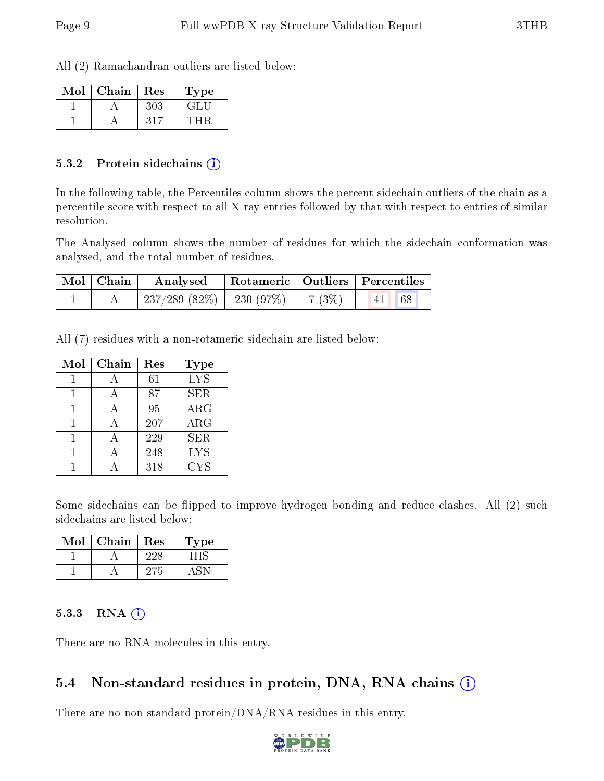All (2) Ramachandran outliers are listed below:

| Mol | Chain | Res | Type       |
|-----|-------|-----|------------|
|     |       | 303 | $\sqrt{1}$ |
|     |       |     |            |

#### 5.3.2 Protein sidechains  $\hat{I}$

In the following table, the Percentiles column shows the percent sidechain outliers of the chain as a percentile score with respect to all X-ray entries followed by that with respect to entries of similar resolution.

The Analysed column shows the number of residues for which the sidechain conformation was analysed, and the total number of residues.

| Mol   Chain | Analysed                                | Rotameric   Outliers   Percentiles |       |  |
|-------------|-----------------------------------------|------------------------------------|-------|--|
|             | $237/289$ (82\%)   230 (97\%)   7 (3\%) |                                    | 41 68 |  |

All (7) residues with a non-rotameric sidechain are listed below:

| Mol | Chain | Res | Type       |
|-----|-------|-----|------------|
|     |       | 61  | <b>LYS</b> |
|     |       | 87  | <b>SER</b> |
|     |       | 95  | $\rm{ARG}$ |
|     |       | 207 | $\rm{ARG}$ |
|     |       | 229 | <b>SER</b> |
|     |       | 248 | <b>LYS</b> |
|     |       | 318 | <b>CYS</b> |

Some sidechains can be flipped to improve hydrogen bonding and reduce clashes. All (2) such sidechains are listed below:

| Mol | Chain | Res | Type |
|-----|-------|-----|------|
|     |       |     |      |
|     |       |     |      |

#### 5.3.3 RNA [O](https://www.wwpdb.org/validation/2017/XrayValidationReportHelp#rna)i

There are no RNA molecules in this entry.

#### 5.4 Non-standard residues in protein, DNA, RNA chains (i)

There are no non-standard protein/DNA/RNA residues in this entry.

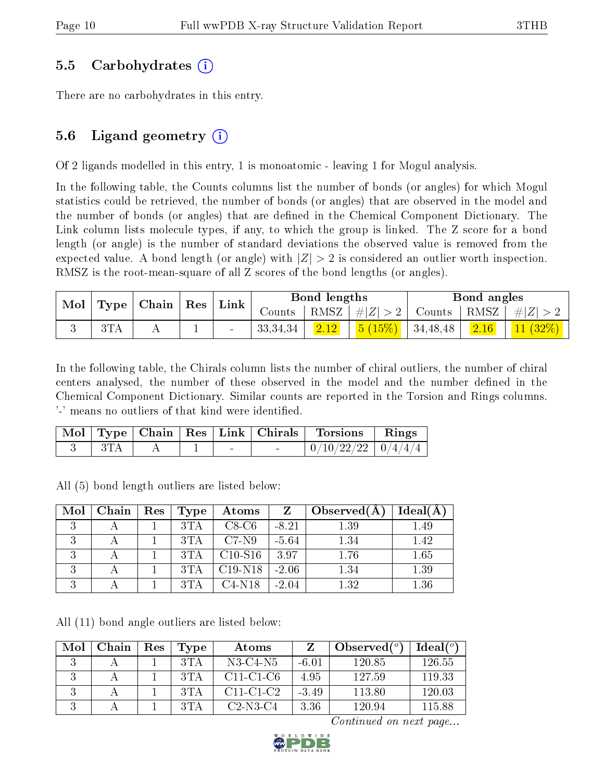#### 5.5 Carbohydrates (i)

There are no carbohydrates in this entry.

### 5.6 Ligand geometry  $(i)$

Of 2 ligands modelled in this entry, 1 is monoatomic - leaving 1 for Mogul analysis.

In the following table, the Counts columns list the number of bonds (or angles) for which Mogul statistics could be retrieved, the number of bonds (or angles) that are observed in the model and the number of bonds (or angles) that are defined in the Chemical Component Dictionary. The Link column lists molecule types, if any, to which the group is linked. The Z score for a bond length (or angle) is the number of standard deviations the observed value is removed from the expected value. A bond length (or angle) with  $|Z| > 2$  is considered an outlier worth inspection. RMSZ is the root-mean-square of all Z scores of the bond lengths (or angles).

| $\parallel$ Mol $\parallel$ Type $\parallel$ | $\mid$ Chain $\mid$ | $\mid$ Res $\mid$ Link |            | Bond lengths   |                                                                   |          | Bond angles |            |
|----------------------------------------------|---------------------|------------------------|------------|----------------|-------------------------------------------------------------------|----------|-------------|------------|
|                                              |                     |                        |            |                | Counts   RMSZ $\mid \#  Z  > 2$   Counts   RMSZ $\mid \#  Z  > 2$ |          |             |            |
| 3TA                                          |                     | $\sim$                 | 33, 34, 34 | $\boxed{2.12}$ | $  5 (15\%)  $                                                    | 34,48,48 | 2.16        | $11(32\%)$ |

In the following table, the Chirals column lists the number of chiral outliers, the number of chiral centers analysed, the number of these observed in the model and the number defined in the Chemical Component Dictionary. Similar counts are reported in the Torsion and Rings columns. '-' means no outliers of that kind were identified.

|  |  |                          | Mol   Type   Chain   Res   Link   Chirals | Torsions Rings           |  |
|--|--|--------------------------|-------------------------------------------|--------------------------|--|
|  |  | $\overline{\phantom{0}}$ |                                           | $0/10/22/22$   $0/4/4/4$ |  |

All (5) bond length outliers are listed below:

| Mol | Chain | Res | <b>Type</b> | Atoms     | Z       | Observed $(A)$ | Ideal(A) |
|-----|-------|-----|-------------|-----------|---------|----------------|----------|
| 2   |       |     | 3TA         | $C8-C6$   | $-8.21$ | 1.39           | 1.49     |
| 2   |       |     | 3TA         | $C7-N9$   | $-5.64$ | 1.34           | 1.42     |
| 2   |       |     | 3TA         | $C10-S16$ | 3.97    | 1.76           | 1.65     |
| 2   |       |     | 3TA         | $C19-N18$ | $-2.06$ | 1.34           | 1.39     |
| ാ   |       |     |             | $C4-N18$  | $-2.04$ | 1.32           | 1.36     |

All (11) bond angle outliers are listed below:

| Mol | Chain | Res | Type | Atoms       |         | Observed( $^o$ ) | $\mathrm{Ideal}({}^\mathrm{o})$ |
|-----|-------|-----|------|-------------|---------|------------------|---------------------------------|
|     |       |     | 3TA  | $N3-C4-N5$  | $-6.01$ | 120.85           | 126.55                          |
|     |       |     | 3TA  | $C11-C1-C6$ | 4.95    | 127.59           | 119.33                          |
|     |       |     | 3TA  | $C11-C1-C2$ | $-3.49$ | 113.80           | 120.03                          |
|     |       |     | 3TA  | $C2-N3-C4$  | 3.36    | 120.94           | 115.88                          |

Continued on next page...

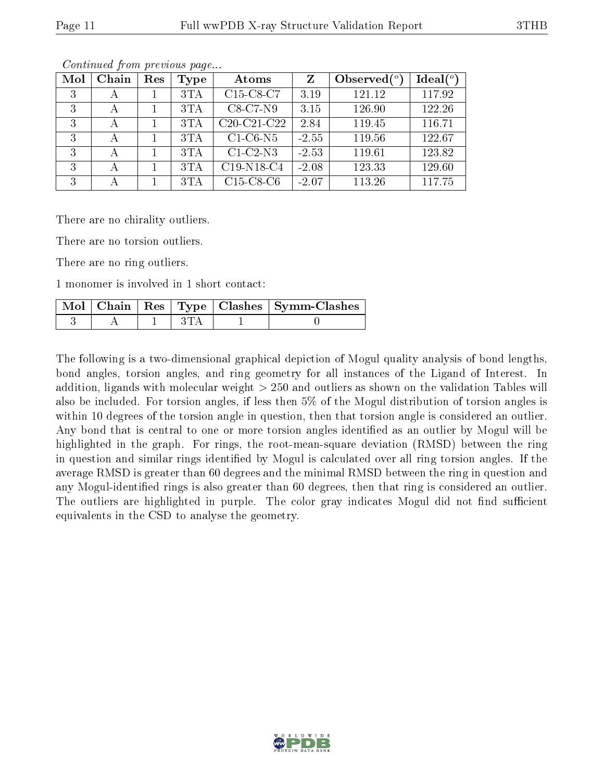| Mol | Chain        | Res | <b>Type</b> | Atoms                                             | $\mathbf{Z}$ | Observed $\binom{o}{c}$ | $Ideal(^o)$ |
|-----|--------------|-----|-------------|---------------------------------------------------|--------------|-------------------------|-------------|
| 3   | А            |     | 3TA         | C <sub>15</sub> -C <sub>8</sub> -C <sub>7</sub>   | 3.19         | 121.12                  | 117.92      |
| 3   | А            |     | 3TA         | $C8-C7-N9$                                        | 3.15         | 126.90                  | 122.26      |
| 3   | $\mathbf{A}$ |     | 3TA         | C <sub>20</sub> -C <sub>21</sub> -C <sub>22</sub> | 2.84         | 119.45                  | 116.71      |
| 3   | А            |     | 3TA         | $C1-C6-N5$                                        | $-2.55$      | 119.56                  | 122.67      |
| 3   | А            |     | 3TA         | $C1-C2-N3$                                        | $-2.53$      | 119.61                  | 123.82      |
| 3   | А            |     | 3TA         | C19-N18-C4                                        | $-2.08$      | 123.33                  | 129.60      |
| 3   |              |     | 3TA         | $C15-C8-C6$                                       | $-2.07$      | 113.26                  | 117.75      |

Continued from previous page...

There are no chirality outliers.

There are no torsion outliers.

There are no ring outliers.

1 monomer is involved in 1 short contact:

|  |  | Mol   Chain   Res   Type   Clashes   Symm-Clashes |
|--|--|---------------------------------------------------|
|  |  |                                                   |

The following is a two-dimensional graphical depiction of Mogul quality analysis of bond lengths, bond angles, torsion angles, and ring geometry for all instances of the Ligand of Interest. In addition, ligands with molecular weight > 250 and outliers as shown on the validation Tables will also be included. For torsion angles, if less then 5% of the Mogul distribution of torsion angles is within 10 degrees of the torsion angle in question, then that torsion angle is considered an outlier. Any bond that is central to one or more torsion angles identified as an outlier by Mogul will be highlighted in the graph. For rings, the root-mean-square deviation (RMSD) between the ring in question and similar rings identified by Mogul is calculated over all ring torsion angles. If the average RMSD is greater than 60 degrees and the minimal RMSD between the ring in question and any Mogul-identified rings is also greater than 60 degrees, then that ring is considered an outlier. The outliers are highlighted in purple. The color gray indicates Mogul did not find sufficient equivalents in the CSD to analyse the geometry.

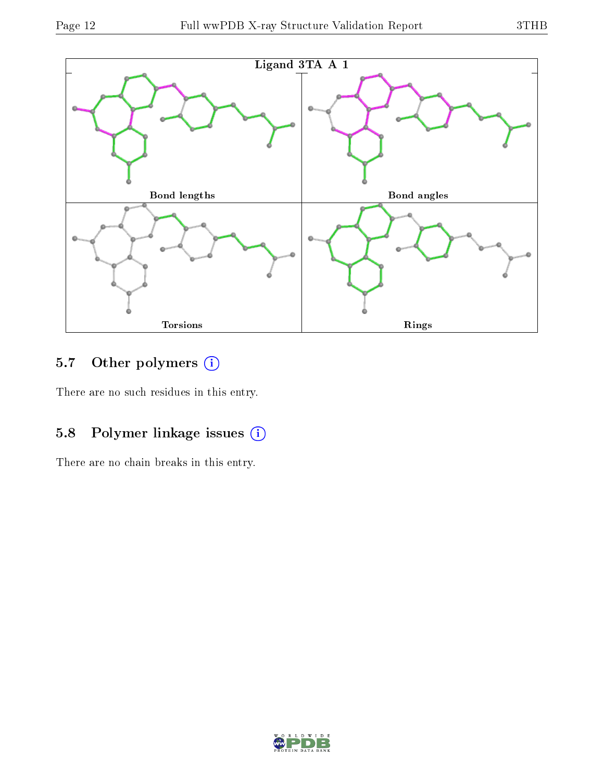

### 5.7 [O](https://www.wwpdb.org/validation/2017/XrayValidationReportHelp#nonstandard_residues_and_ligands)ther polymers (i)

There are no such residues in this entry.

### 5.8 Polymer linkage issues (i)

There are no chain breaks in this entry.

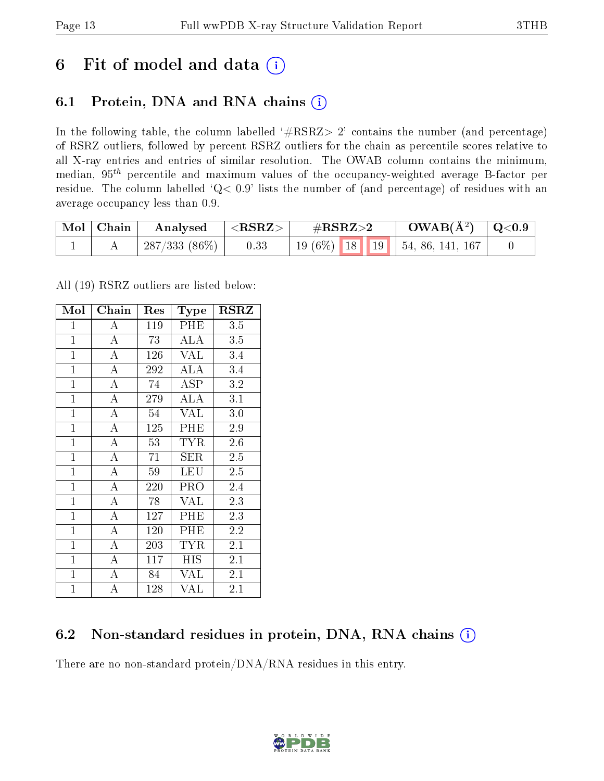## 6 Fit of model and data  $(i)$

### 6.1 Protein, DNA and RNA chains  $(i)$

In the following table, the column labelled  $#RSRZ> 2'$  contains the number (and percentage) of RSRZ outliers, followed by percent RSRZ outliers for the chain as percentile scores relative to all X-ray entries and entries of similar resolution. The OWAB column contains the minimum, median,  $95<sup>th</sup>$  percentile and maximum values of the occupancy-weighted average B-factor per residue. The column labelled ' $Q< 0.9$ ' lists the number of (and percentage) of residues with an average occupancy less than 0.9.

| $\text{Mol} \mid \text{Chain}$ | Analysed        | $<$ RSRZ $>$ | $\#\text{RSRZ}\text{>2}$         | $OWAB(A^2)$ $\vert$ Q<0.9 |  |
|--------------------------------|-----------------|--------------|----------------------------------|---------------------------|--|
|                                | $287/333(86\%)$ | 0.33         | $19(6\%)$ 18 19 54, 86, 141, 167 |                           |  |

All (19) RSRZ outliers are listed below:

| Mol            | Chain              | Res | <b>Type</b>             | RSRZ    |
|----------------|--------------------|-----|-------------------------|---------|
| $\mathbf{1}$   | $\boldsymbol{A}$   | 119 | PHE                     | 3.5     |
| $\mathbf{1}$   | $\bf{A}$           | 73  | ALA                     | 3.5     |
| $\mathbf{1}$   | $\overline{\rm A}$ | 126 | <b>VAL</b>              | 3.4     |
| $\mathbf{1}$   | $\overline{A}$     | 292 | ALA                     | 3.4     |
| $\mathbf{1}$   | A                  | 74  | ASP                     | 3.2     |
| $\mathbf{1}$   | $\bf{A}$           | 279 | ALA                     | 3.1     |
| $\mathbf{1}$   | $\overline{A}$     | 54  | $\overline{\text{VAL}}$ | 3.0     |
| $\overline{1}$ | $\overline{A}$     | 125 | PHE                     | 2.9     |
| $\mathbf{1}$   | $\overline{A}$     | 53  | <b>TYR</b>              | 2.6     |
| $\mathbf{1}$   | $\overline{A}$     | 71  | SER                     | 2.5     |
| $\mathbf{1}$   | $\overline{A}$     | 59  | <b>LEU</b>              | 2.5     |
| $\mathbf{1}$   | $\overline{\rm A}$ | 220 | PRO                     | 2.4     |
| $\mathbf{1}$   | $\overline{A}$     | 78  | <b>VAL</b>              | 2.3     |
| $\mathbf{1}$   | $\bf{A}$           | 127 | PHE                     | 2.3     |
| $\mathbf{1}$   | $\overline{A}$     | 120 | PHE                     | 2.2     |
| $\mathbf{1}$   | $\bf{A}$           | 203 | <b>TYR</b>              | 2.1     |
| $\mathbf{1}$   | $\overline{\rm A}$ | 117 | HIS                     | 2.1     |
| $\mathbf{1}$   | A                  | 84  | VAL                     | 2.1     |
| $\mathbf{1}$   | A                  | 128 | VAL                     | $2.1\,$ |

### 6.2 Non-standard residues in protein, DNA, RNA chains  $(i)$

There are no non-standard protein/DNA/RNA residues in this entry.

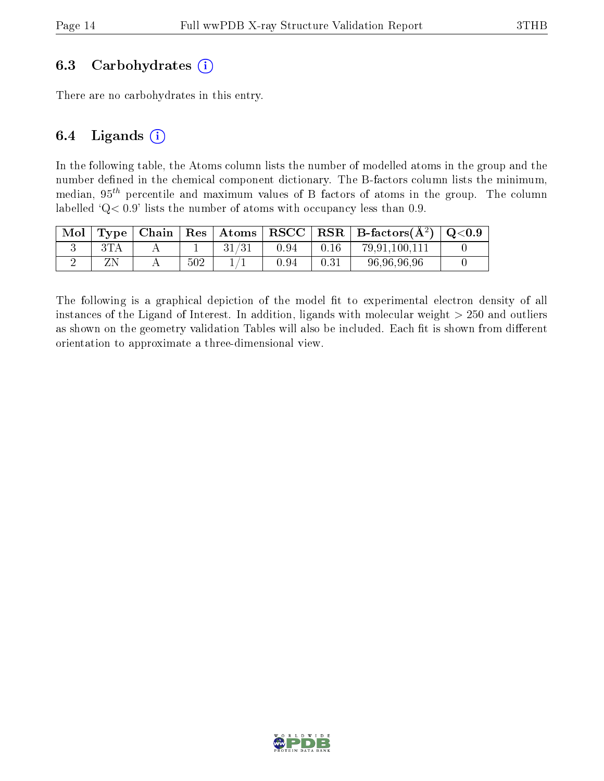#### 6.3 Carbohydrates  $(i)$

There are no carbohydrates in this entry.

#### 6.4 Ligands  $(i)$

In the following table, the Atoms column lists the number of modelled atoms in the group and the number defined in the chemical component dictionary. The B-factors column lists the minimum, median,  $95<sup>th</sup>$  percentile and maximum values of B factors of atoms in the group. The column labelled 'Q< 0.9' lists the number of atoms with occupancy less than 0.9.

| Mol | Type   Chain   Res |     | $\pm$ Atoms $\pm$ |      |      | $\mid$ RSCC $\mid$ RSR $\mid$ B-factors( $\AA^2$ ) $\mid$ Q<0.9 |  |
|-----|--------------------|-----|-------------------|------|------|-----------------------------------------------------------------|--|
|     |                    |     |                   | 0.94 | 0.16 | 79,91,100,111                                                   |  |
|     |                    | 502 |                   | 0.94 | 0.31 | 96,96,96,96                                                     |  |

The following is a graphical depiction of the model fit to experimental electron density of all instances of the Ligand of Interest. In addition, ligands with molecular weight  $> 250$  and outliers as shown on the geometry validation Tables will also be included. Each fit is shown from different orientation to approximate a three-dimensional view.